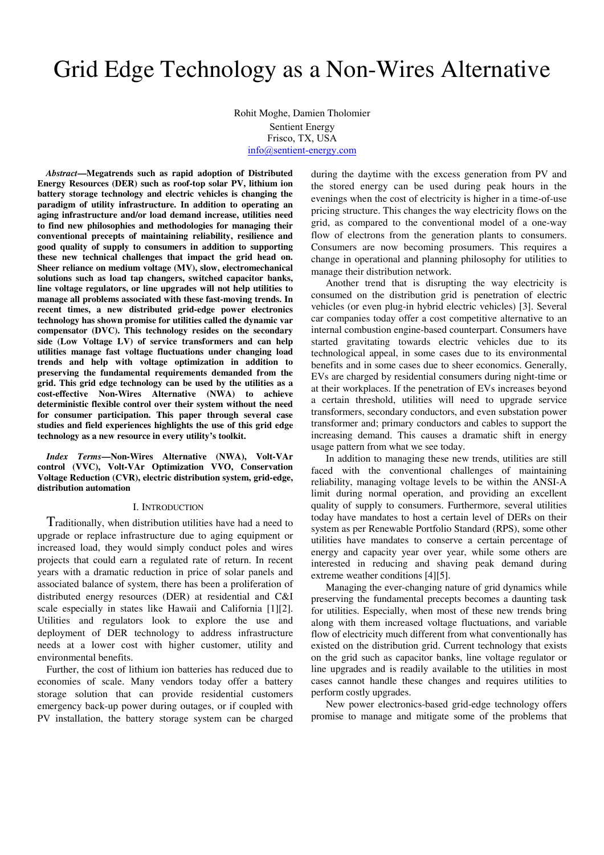# Grid Edge Technology as a Non-Wires Alternative

Rohit Moghe, Damien Tholomier Sentient Energy Frisco, TX, USA info@sentient-energy.com

*Abstract***—Megatrends such as rapid adoption of Distributed Energy Resources (DER) such as roof-top solar PV, lithium ion battery storage technology and electric vehicles is changing the paradigm of utility infrastructure. In addition to operating an aging infrastructure and/or load demand increase, utilities need to find new philosophies and methodologies for managing their conventional precepts of maintaining reliability, resilience and good quality of supply to consumers in addition to supporting these new technical challenges that impact the grid head on. Sheer reliance on medium voltage (MV), slow, electromechanical solutions such as load tap changers, switched capacitor banks, line voltage regulators, or line upgrades will not help utilities to manage all problems associated with these fast-moving trends. In recent times, a new distributed grid-edge power electronics technology has shown promise for utilities called the dynamic var compensator (DVC). This technology resides on the secondary side (Low Voltage LV) of service transformers and can help utilities manage fast voltage fluctuations under changing load trends and help with voltage optimization in addition to preserving the fundamental requirements demanded from the grid. This grid edge technology can be used by the utilities as a cost-effective Non-Wires Alternative (NWA) to achieve deterministic flexible control over their system without the need for consumer participation. This paper through several case studies and field experiences highlights the use of this grid edge technology as a new resource in every utility's toolkit.** 

*Index Terms***—Non-Wires Alternative (NWA), Volt-VAr control (VVC), Volt-VAr Optimization VVO, Conservation Voltage Reduction (CVR), electric distribution system, grid-edge, distribution automation** 

## I. INTRODUCTION

Traditionally, when distribution utilities have had a need to upgrade or replace infrastructure due to aging equipment or increased load, they would simply conduct poles and wires projects that could earn a regulated rate of return. In recent years with a dramatic reduction in price of solar panels and associated balance of system, there has been a proliferation of distributed energy resources (DER) at residential and C&I scale especially in states like Hawaii and California [1][2]. Utilities and regulators look to explore the use and deployment of DER technology to address infrastructure needs at a lower cost with higher customer, utility and environmental benefits.

Further, the cost of lithium ion batteries has reduced due to economies of scale. Many vendors today offer a battery storage solution that can provide residential customers emergency back-up power during outages, or if coupled with PV installation, the battery storage system can be charged during the daytime with the excess generation from PV and the stored energy can be used during peak hours in the evenings when the cost of electricity is higher in a time-of-use pricing structure. This changes the way electricity flows on the grid, as compared to the conventional model of a one-way flow of electrons from the generation plants to consumers. Consumers are now becoming prosumers. This requires a change in operational and planning philosophy for utilities to manage their distribution network.

Another trend that is disrupting the way electricity is consumed on the distribution grid is penetration of electric vehicles (or even plug-in hybrid electric vehicles) [3]. Several car companies today offer a cost competitive alternative to an internal combustion engine-based counterpart. Consumers have started gravitating towards electric vehicles due to its technological appeal, in some cases due to its environmental benefits and in some cases due to sheer economics. Generally, EVs are charged by residential consumers during night-time or at their workplaces. If the penetration of EVs increases beyond a certain threshold, utilities will need to upgrade service transformers, secondary conductors, and even substation power transformer and; primary conductors and cables to support the increasing demand. This causes a dramatic shift in energy usage pattern from what we see today.

In addition to managing these new trends, utilities are still faced with the conventional challenges of maintaining reliability, managing voltage levels to be within the ANSI-A limit during normal operation, and providing an excellent quality of supply to consumers. Furthermore, several utilities today have mandates to host a certain level of DERs on their system as per Renewable Portfolio Standard (RPS), some other utilities have mandates to conserve a certain percentage of energy and capacity year over year, while some others are interested in reducing and shaving peak demand during extreme weather conditions [4][5].

Managing the ever-changing nature of grid dynamics while preserving the fundamental precepts becomes a daunting task for utilities. Especially, when most of these new trends bring along with them increased voltage fluctuations, and variable flow of electricity much different from what conventionally has existed on the distribution grid. Current technology that exists on the grid such as capacitor banks, line voltage regulator or line upgrades and is readily available to the utilities in most cases cannot handle these changes and requires utilities to perform costly upgrades.

New power electronics-based grid-edge technology offers promise to manage and mitigate some of the problems that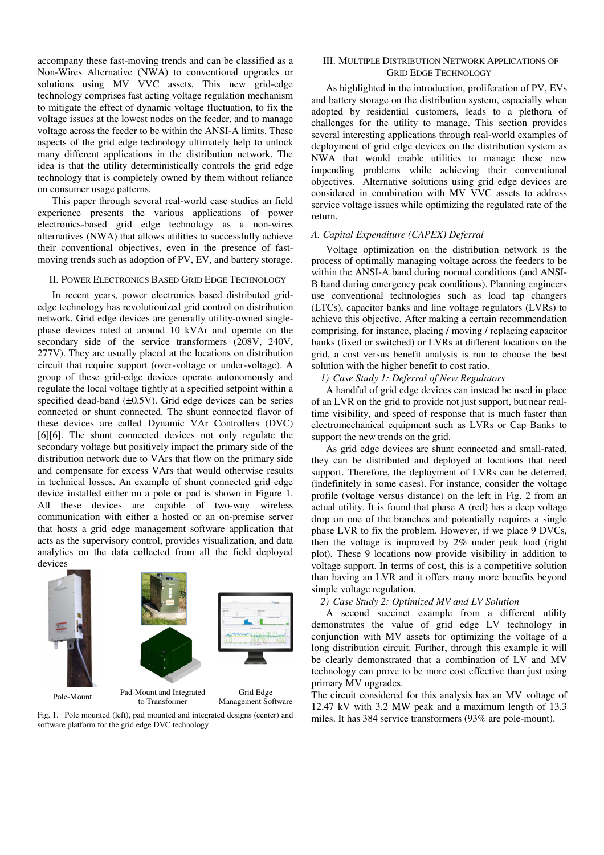accompany these fast-moving trends and can be classified as a Non-Wires Alternative (NWA) to conventional upgrades or solutions using MV VVC assets. This new grid-edge technology comprises fast acting voltage regulation mechanism to mitigate the effect of dynamic voltage fluctuation, to fix the voltage issues at the lowest nodes on the feeder, and to manage voltage across the feeder to be within the ANSI-A limits. These aspects of the grid edge technology ultimately help to unlock many different applications in the distribution network. The idea is that the utility deterministically controls the grid edge technology that is completely owned by them without reliance on consumer usage patterns.

This paper through several real-world case studies an field experience presents the various applications of power electronics-based grid edge technology as a non-wires alternatives (NWA) that allows utilities to successfully achieve their conventional objectives, even in the presence of fastmoving trends such as adoption of PV, EV, and battery storage.

## II. POWER ELECTRONICS BASED GRID EDGE TECHNOLOGY

In recent years, power electronics based distributed gridedge technology has revolutionized grid control on distribution network. Grid edge devices are generally utility-owned singlephase devices rated at around 10 kVAr and operate on the secondary side of the service transformers (208V, 240V, 277V). They are usually placed at the locations on distribution circuit that require support (over-voltage or under-voltage). A group of these grid-edge devices operate autonomously and regulate the local voltage tightly at a specified setpoint within a specified dead-band (±0.5V). Grid edge devices can be series connected or shunt connected. The shunt connected flavor of these devices are called Dynamic VAr Controllers (DVC) [6][6]. The shunt connected devices not only regulate the secondary voltage but positively impact the primary side of the distribution network due to VArs that flow on the primary side and compensate for excess VArs that would otherwise results in technical losses. An example of shunt connected grid edge device installed either on a pole or pad is shown in Figure 1. All these devices are capable of two-way wireless communication with either a hosted or an on-premise server that hosts a grid edge management software application that acts as the supervisory control, provides visualization, and data analytics on the data collected from all the field deployed devices



Fig. 1. Pole mounted (left), pad mounted and integrated designs (center) and software platform for the grid edge DVC technology

# III. MULTIPLE DISTRIBUTION NETWORK APPLICATIONS OF GRID EDGE TECHNOLOGY

As highlighted in the introduction, proliferation of PV, EVs and battery storage on the distribution system, especially when adopted by residential customers, leads to a plethora of challenges for the utility to manage. This section provides several interesting applications through real-world examples of deployment of grid edge devices on the distribution system as NWA that would enable utilities to manage these new impending problems while achieving their conventional objectives. Alternative solutions using grid edge devices are considered in combination with MV VVC assets to address service voltage issues while optimizing the regulated rate of the return.

## *A. Capital Expenditure (CAPEX) Deferral*

Voltage optimization on the distribution network is the process of optimally managing voltage across the feeders to be within the ANSI-A band during normal conditions (and ANSI-B band during emergency peak conditions). Planning engineers use conventional technologies such as load tap changers (LTCs), capacitor banks and line voltage regulators (LVRs) to achieve this objective. After making a certain recommendation comprising, for instance, placing / moving / replacing capacitor banks (fixed or switched) or LVRs at different locations on the grid, a cost versus benefit analysis is run to choose the best solution with the higher benefit to cost ratio.

## *1) Case Study 1: Deferral of New Regulators*

A handful of grid edge devices can instead be used in place of an LVR on the grid to provide not just support, but near realtime visibility, and speed of response that is much faster than electromechanical equipment such as LVRs or Cap Banks to support the new trends on the grid.

As grid edge devices are shunt connected and small-rated, they can be distributed and deployed at locations that need support. Therefore, the deployment of LVRs can be deferred, (indefinitely in some cases). For instance, consider the voltage profile (voltage versus distance) on the left in Fig. 2 from an actual utility. It is found that phase A (red) has a deep voltage drop on one of the branches and potentially requires a single phase LVR to fix the problem. However, if we place 9 DVCs, then the voltage is improved by 2% under peak load (right plot). These 9 locations now provide visibility in addition to voltage support. In terms of cost, this is a competitive solution than having an LVR and it offers many more benefits beyond simple voltage regulation.

# *2) Case Study 2: Optimized MV and LV Solution*

A second succinct example from a different utility demonstrates the value of grid edge LV technology in conjunction with MV assets for optimizing the voltage of a long distribution circuit. Further, through this example it will be clearly demonstrated that a combination of LV and MV technology can prove to be more cost effective than just using primary MV upgrades.

The circuit considered for this analysis has an MV voltage of 12.47 kV with 3.2 MW peak and a maximum length of 13.3 miles. It has 384 service transformers (93% are pole-mount).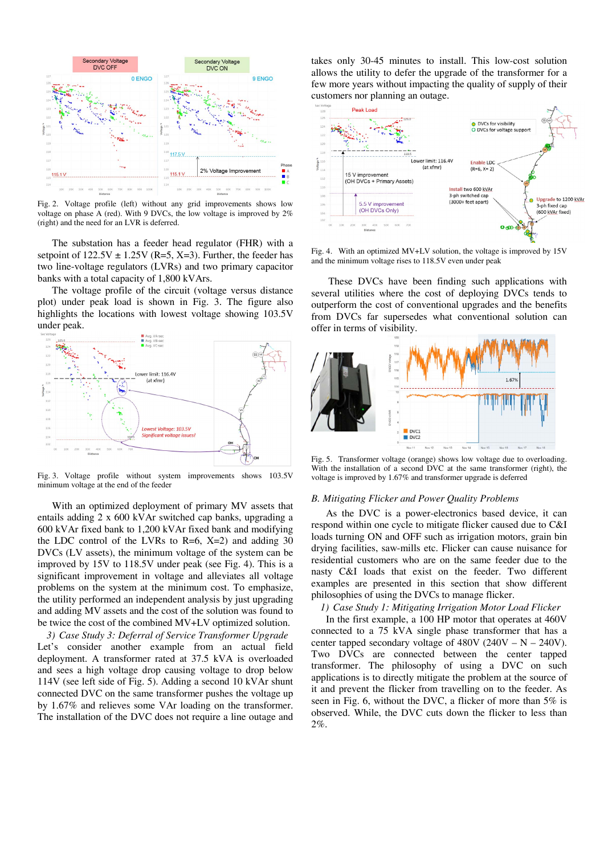

Fig. 2. Voltage profile (left) without any grid improvements shows low voltage on phase A (red). With 9 DVCs, the low voltage is improved by 2% (right) and the need for an LVR is deferred.

The substation has a feeder head regulator (FHR) with a setpoint of  $122.5V \pm 1.25V$  (R=5, X=3). Further, the feeder has two line-voltage regulators (LVRs) and two primary capacitor banks with a total capacity of 1,800 kVArs.

The voltage profile of the circuit (voltage versus distance plot) under peak load is shown in Fig. 3. The figure also highlights the locations with lowest voltage showing 103.5V under peak.



Fig. 3. Voltage profile without system improvements shows 103.5V minimum voltage at the end of the feeder

With an optimized deployment of primary MV assets that entails adding 2 x 600 kVAr switched cap banks, upgrading a 600 kVAr fixed bank to 1,200 kVAr fixed bank and modifying the LDC control of the LVRs to  $R=6$ ,  $X=2$ ) and adding 30 DVCs (LV assets), the minimum voltage of the system can be improved by 15V to 118.5V under peak (see Fig. 4). This is a significant improvement in voltage and alleviates all voltage problems on the system at the minimum cost. To emphasize, the utility performed an independent analysis by just upgrading and adding MV assets and the cost of the solution was found to be twice the cost of the combined MV+LV optimized solution.

*3) Case Study 3: Deferral of Service Transformer Upgrade* Let's consider another example from an actual field deployment. A transformer rated at 37.5 kVA is overloaded and sees a high voltage drop causing voltage to drop below 114V (see left side of Fig. 5). Adding a second 10 kVAr shunt connected DVC on the same transformer pushes the voltage up by 1.67% and relieves some VAr loading on the transformer. The installation of the DVC does not require a line outage and takes only 30-45 minutes to install. This low-cost solution allows the utility to defer the upgrade of the transformer for a few more years without impacting the quality of supply of their customers nor planning an outage.



Fig. 4. With an optimized MV+LV solution, the voltage is improved by 15V and the minimum voltage rises to 118.5V even under peak

 These DVCs have been finding such applications with several utilities where the cost of deploying DVCs tends to outperform the cost of conventional upgrades and the benefits from DVCs far supersedes what conventional solution can offer in terms of visibility.



Fig. 5. Transformer voltage (orange) shows low voltage due to overloading. With the installation of a second DVC at the same transformer (right), the voltage is improved by 1.67% and transformer upgrade is deferred

# *B. Mitigating Flicker and Power Quality Problems*

As the DVC is a power-electronics based device, it can respond within one cycle to mitigate flicker caused due to C&I loads turning ON and OFF such as irrigation motors, grain bin drying facilities, saw-mills etc. Flicker can cause nuisance for residential customers who are on the same feeder due to the nasty C&I loads that exist on the feeder. Two different examples are presented in this section that show different philosophies of using the DVCs to manage flicker.

# *1) Case Study 1: Mitigating Irrigation Motor Load Flicker*

In the first example, a 100 HP motor that operates at 460V connected to a 75 kVA single phase transformer that has a center tapped secondary voltage of  $480V (240V - N - 240V)$ . Two DVCs are connected between the center tapped transformer. The philosophy of using a DVC on such applications is to directly mitigate the problem at the source of it and prevent the flicker from travelling on to the feeder. As seen in Fig. 6, without the DVC, a flicker of more than 5% is observed. While, the DVC cuts down the flicker to less than 2%.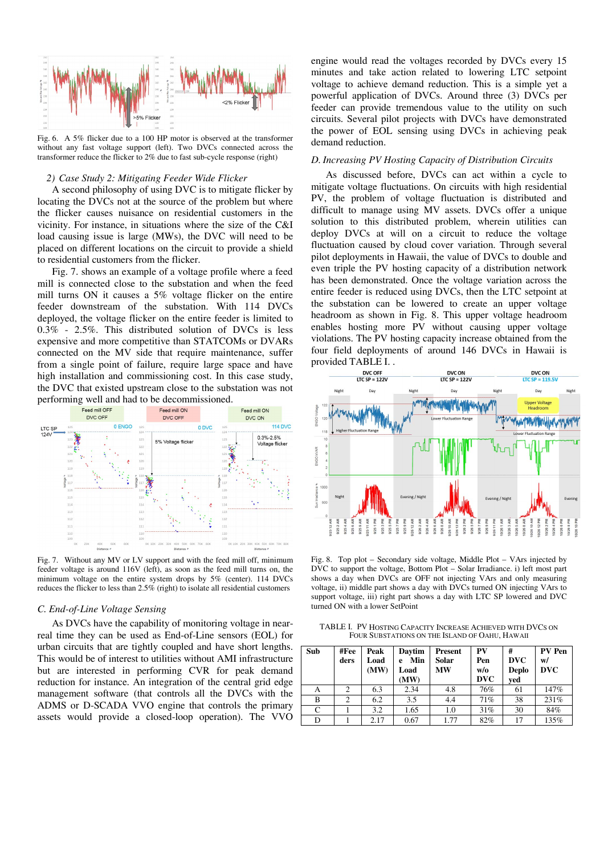

Fig. 6. A 5% flicker due to a 100 HP motor is observed at the transformer without any fast voltage support (left). Two DVCs connected across the transformer reduce the flicker to 2% due to fast sub-cycle response (right)

## *2) Case Study 2: Mitigating Feeder Wide Flicker*

A second philosophy of using DVC is to mitigate flicker by locating the DVCs not at the source of the problem but where the flicker causes nuisance on residential customers in the vicinity. For instance, in situations where the size of the C&I load causing issue is large (MWs), the DVC will need to be placed on different locations on the circuit to provide a shield to residential customers from the flicker.

Fig. 7. shows an example of a voltage profile where a feed mill is connected close to the substation and when the feed mill turns ON it causes a 5% voltage flicker on the entire feeder downstream of the substation. With 114 DVCs deployed, the voltage flicker on the entire feeder is limited to 0.3% - 2.5%. This distributed solution of DVCs is less expensive and more competitive than STATCOMs or DVARs connected on the MV side that require maintenance, suffer from a single point of failure, require large space and have high installation and commissioning cost. In this case study, the DVC that existed upstream close to the substation was not



Fig. 7. Without any MV or LV support and with the feed mill off, minimum feeder voltage is around 116V (left), as soon as the feed mill turns on, the minimum voltage on the entire system drops by 5% (center). 114 DVCs reduces the flicker to less than 2.5% (right) to isolate all residential customers

#### *C. End-of-Line Voltage Sensing*

As DVCs have the capability of monitoring voltage in nearreal time they can be used as End-of-Line sensors (EOL) for urban circuits that are tightly coupled and have short lengths. This would be of interest to utilities without AMI infrastructure but are interested in performing CVR for peak demand reduction for instance. An integration of the central grid edge management software (that controls all the DVCs with the ADMS or D-SCADA VVO engine that controls the primary assets would provide a closed-loop operation). The VVO engine would read the voltages recorded by DVCs every 15 minutes and take action related to lowering LTC setpoint voltage to achieve demand reduction. This is a simple yet a powerful application of DVCs. Around three (3) DVCs per feeder can provide tremendous value to the utility on such circuits. Several pilot projects with DVCs have demonstrated the power of EOL sensing using DVCs in achieving peak demand reduction.

## *D. Increasing PV Hosting Capacity of Distribution Circuits*

As discussed before, DVCs can act within a cycle to mitigate voltage fluctuations. On circuits with high residential PV, the problem of voltage fluctuation is distributed and difficult to manage using MV assets. DVCs offer a unique solution to this distributed problem, wherein utilities can deploy DVCs at will on a circuit to reduce the voltage fluctuation caused by cloud cover variation. Through several pilot deployments in Hawaii, the value of DVCs to double and even triple the PV hosting capacity of a distribution network has been demonstrated. Once the voltage variation across the entire feeder is reduced using DVCs, then the LTC setpoint at the substation can be lowered to create an upper voltage headroom as shown in Fig. 8. This upper voltage headroom enables hosting more PV without causing upper voltage violations. The PV hosting capacity increase obtained from the four field deployments of around 146 DVCs in Hawaii is provided TABLE I. .



Fig. 8. Top plot – Secondary side voltage, Middle Plot – VArs injected by DVC to support the voltage, Bottom Plot – Solar Irradiance. i) left most part shows a day when DVCs are OFF not injecting VArs and only measuring voltage, ii) middle part shows a day with DVCs turned ON injecting VArs to support voltage, iii) right part shows a day with LTC SP lowered and DVC turned ON with a lower SetPoint

TABLE I. PV HOSTING CAPACITY INCREASE ACHIEVED WITH DVCS ON FOUR SUBSTATIONS ON THE ISLAND OF OAHU, HAWAII

| Sub | #Fee<br>ders | Peak<br>Load<br>(MW) | Davtim<br>Min<br>e<br>Load<br>(MW) | <b>Present</b><br>Solar<br>MW | PV<br>Pen<br>w/o<br><b>DVC</b> | #<br><b>DVC</b><br><b>Deplo</b><br>ved | PV Pen<br>w/<br><b>DVC</b> |
|-----|--------------|----------------------|------------------------------------|-------------------------------|--------------------------------|----------------------------------------|----------------------------|
| А   | 2            | 6.3                  | 2.34                               | 4.8                           | 76%                            | 61                                     | 147%                       |
| B   | 2            | 6.2                  | 3.5                                | 4.4                           | 71%                            | 38                                     | 231%                       |
| C   |              | 3.2                  | 1.65                               | 1.0                           | 31%                            | 30                                     | 84%                        |
| D   |              | 2.17                 | 0.67                               | 1.77                          | 82%                            | 17                                     | 135%                       |